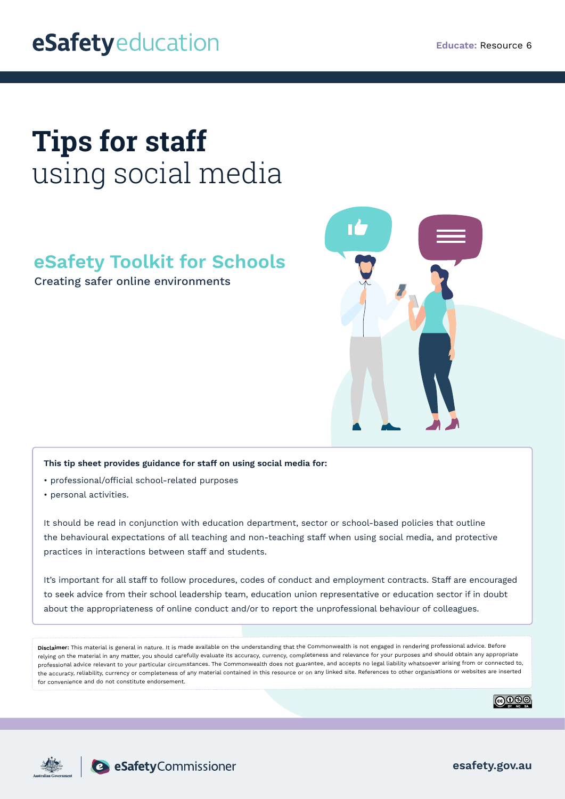## eSafetyeducation

# **Tips for staff**  using social media

### **eSafety Toolkit for Schools**

Creating safer online environments



#### **This tip sheet provides guidance for staff on using social media for:**

- professional/official school-related purposes
- personal activities.

It should be read in conjunction with education department, sector or school-based policies that outline the behavioural expectations of all teaching and non-teaching staff when using social media, and protective practices in interactions between staff and students.

It's important for all staff to follow procedures, codes of conduct and employment contracts. Staff are encouraged to seek advice from their school leadership team, education union representative or education sector if in doubt about the appropriateness of online conduct and/or to report the unprofessional behaviour of colleagues.

**Disclaimer:** This material is general in nature. It is made available on the understanding that the Commonwealth is not engaged in rendering professional advice. Before relying on the material in any matter, you should carefully evaluate its accuracy, currency, completeness and relevance for your purposes and should obtain any appropriate professional advice relevant to your particular circumstances. The Commonwealth does not guarantee, and accepts no legal liability whatsoever arising from or connected to, the accuracy, reliability, currency or completeness of any material contained in this resource or on any linked site. References to other organisations or websites are inserted for convenience and do not constitute endorsement.







**esafety.gov.au**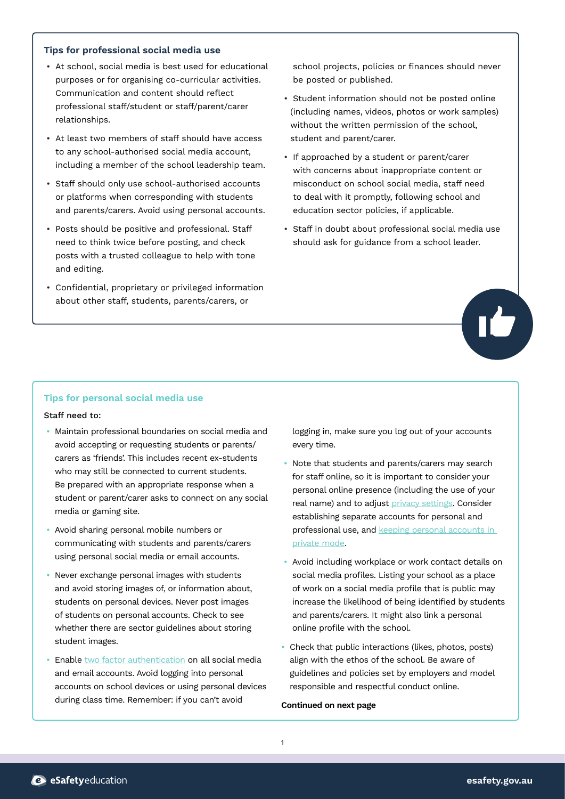#### **Tips for professional social media use**

- At school, social media is best used for educational purposes or for organising co-curricular activities. Communication and content should reflect professional staff/student or staff/parent/carer relationships.
- At least two members of staff should have access to any school-authorised social media account, including a member of the school leadership team.
- Staff should only use school-authorised accounts or platforms when corresponding with students and parents/carers. Avoid using personal accounts.
- Posts should be positive and professional. Staff need to think twice before posting, and check posts with a trusted colleague to help with tone and editing.
- Confidential, proprietary or privileged information about other staff, students, parents/carers, or

school projects, policies or finances should never be posted or published.

- Student information should not be posted online (including names, videos, photos or work samples) without the written permission of the school, student and parent/carer.
- If approached by a student or parent/carer with concerns about inappropriate content or misconduct on school social media, staff need to deal with it promptly, following school and education sector policies, if applicable.
- Staff in doubt about professional social media use should ask for guidance from a school leader.



#### **Tips for personal social media use**

#### Staff need to:

- Maintain professional boundaries on social media and avoid accepting or requesting students or parents/ carers as 'friends'. This includes recent ex-students who may still be connected to current students. Be prepared with an appropriate response when a student or parent/carer asks to connect on any social media or gaming site.
- Avoid sharing personal mobile numbers or communicating with students and parents/carers using personal social media or email accounts.
- Never exchange personal images with students and avoid storing images of, or information about, students on personal devices. Never post images of students on personal accounts. Check to see whether there are sector guidelines about storing student images.
- Enable [two factor authentication](https://www.esafety.gov.au/media/1939) on all social media and email accounts. Avoid logging into personal accounts on school devices or using personal devices during class time. Remember: if you can't avoid

logging in, make sure you log out of your accounts every time.

- Note that students and parents/carers may search for staff online, so it is important to consider your personal online presence (including the use of your real name) and to adjust [privacy settings.](https://www.esafety.gov.au/key-issues/esafety-guide) Consider establishing separate accounts for personal and professional use, and keeping personal accounts in [private mode](https://www.esafety.gov.au/key-issues/how-to/protect-personal-information).
- Avoid including workplace or work contact details on social media profiles. Listing your school as a place of work on a social media profile that is public may increase the likelihood of being identified by students and parents/carers. It might also link a personal online profile with the school.
- Check that public interactions (likes, photos, posts) align with the ethos of the school. Be aware of guidelines and policies set by employers and model responsible and respectful conduct online.

#### **Continued on next page**